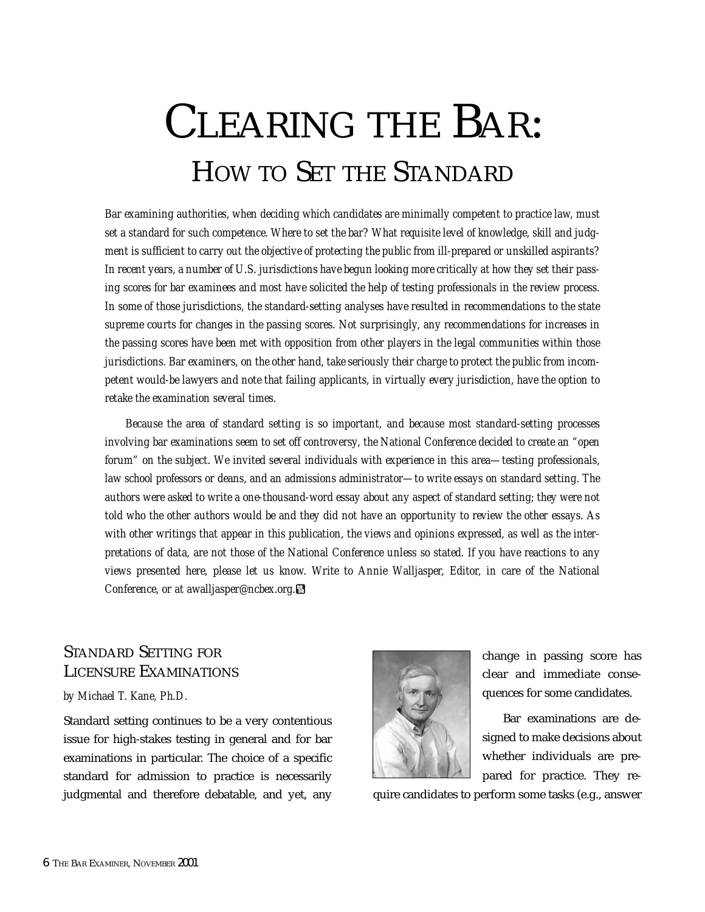# CLEARING THE BAR: HOW TO SET THE STANDARD

*Bar examining authorities, when deciding which candidates are minimally competent to practice law, must set a standard for such competence. Where to set the bar? What requisite level of knowledge, skill and judgment is sufficient to carry out the objective of protecting the public from ill-prepared or unskilled aspirants? In recent years, a number of U.S. jurisdictions have begun looking more critically at how they set their passing scores for bar examinees and most have solicited the help of testing professionals in the review process. In some of those jurisdictions, the standard-setting analyses have resulted in recommendations to the state supreme courts for changes in the passing scores. Not surprisingly, any recommendations for increases in the passing scores have been met with opposition from other players in the legal communities within those jurisdictions. Bar examiners, on the other hand, take seriously their charge to protect the public from incompetent would-be lawyers and note that failing applicants, in virtually every jurisdiction, have the option to retake the examination several times.*

*Because the area of standard setting is so important, and because most standard-setting processes involving bar examinations seem to set off controversy, the National Conference decided to create an "open forum" on the subject. We invited several individuals with experience in this area—testing professionals, law school professors or deans, and an admissions administrator—to write essays on standard setting. The authors were asked to write a one-thousand-word essay about any aspect of standard setting; they were not told who the other authors would be and they did not have an opportunity to review the other essays. As with other writings that appear in this publication, the views and opinions expressed, as well as the interpretations of data, are not those of the National Conference unless so stated. If you have reactions to any views presented here, please let us know. Write to Annie Walljasper, Editor, in care of the National Conference, or at awalljasper@ncbex.org.*

# STANDARD SETTING FOR LICENSURE EXAMINATIONS

#### *by Michael T. Kane, Ph.D.*

Standard setting continues to be a very contentious issue for high-stakes testing in general and for bar examinations in particular. The choice of a specific standard for admission to practice is necessarily judgmental and therefore debatable, and yet, any



change in passing score has clear and immediate consequences for some candidates.

Bar examinations are designed to make decisions about whether individuals are prepared for practice. They re-

quire candidates to perform some tasks (e.g., answer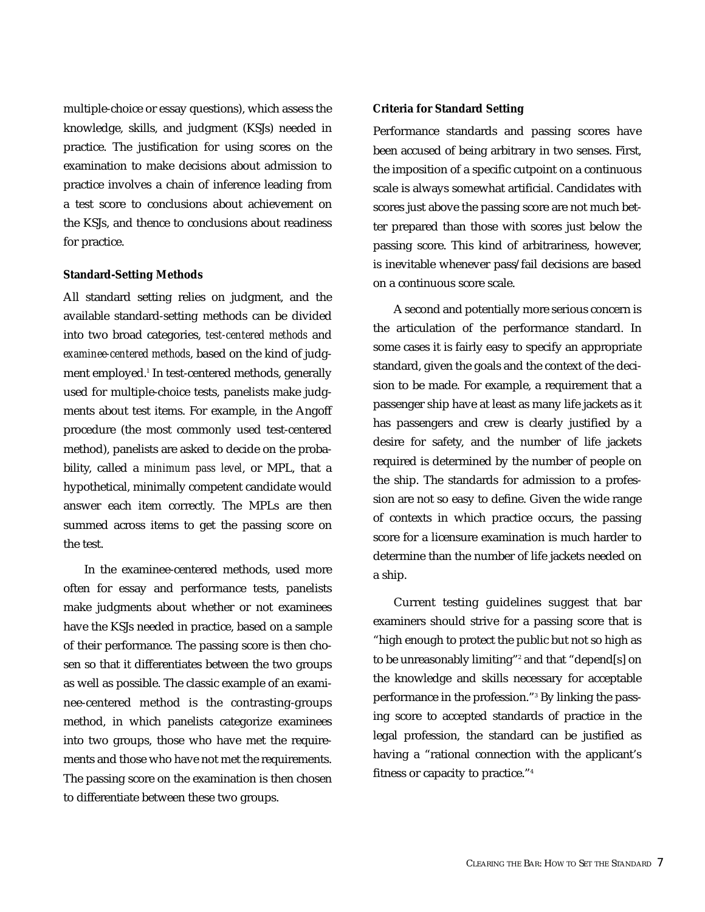multiple-choice or essay questions), which assess the knowledge, skills, and judgment (KSJs) needed in practice. The justification for using scores on the examination to make decisions about admission to practice involves a chain of inference leading from a test score to conclusions about achievement on the KSJs, and thence to conclusions about readiness for practice.

#### *Standard-Setting Methods*

All standard setting relies on judgment, and the available standard-setting methods can be divided into two broad categories, *test-centered methods* and *examinee-centered methods*, based on the kind of judgment employed.<sup>1</sup> In test-centered methods, generally used for multiple-choice tests, panelists make judgments about test items. For example, in the Angoff procedure (the most commonly used test-centered method), panelists are asked to decide on the probability, called a *minimum pass level*, or MPL, that a hypothetical, minimally competent candidate would answer each item correctly. The MPLs are then summed across items to get the passing score on the test.

In the examinee-centered methods, used more often for essay and performance tests, panelists make judgments about whether or not examinees have the KSJs needed in practice, based on a sample of their performance. The passing score is then chosen so that it differentiates between the two groups as well as possible. The classic example of an examinee-centered method is the contrasting-groups method, in which panelists categorize examinees into two groups, those who have met the requirements and those who have not met the requirements. The passing score on the examination is then chosen to differentiate between these two groups.

#### *Criteria for Standard Setting*

Performance standards and passing scores have been accused of being arbitrary in two senses. First, the imposition of a specific cutpoint on a continuous scale is always somewhat artificial. Candidates with scores just above the passing score are not much better prepared than those with scores just below the passing score. This kind of arbitrariness, however, is inevitable whenever pass/fail decisions are based on a continuous score scale.

A second and potentially more serious concern is the articulation of the performance standard. In some cases it is fairly easy to specify an appropriate standard, given the goals and the context of the decision to be made. For example, a requirement that a passenger ship have at least as many life jackets as it has passengers and crew is clearly justified by a desire for safety, and the number of life jackets required is determined by the number of people on the ship. The standards for admission to a profession are not so easy to define. Given the wide range of contexts in which practice occurs, the passing score for a licensure examination is much harder to determine than the number of life jackets needed on a ship.

Current testing guidelines suggest that bar examiners should strive for a passing score that is "high enough to protect the public but not so high as to be unreasonably limiting"<sup>2</sup> and that "depend[s] on the knowledge and skills necessary for acceptable performance in the profession."3 By linking the passing score to accepted standards of practice in the legal profession, the standard can be justified as having a "rational connection with the applicant's fitness or capacity to practice."4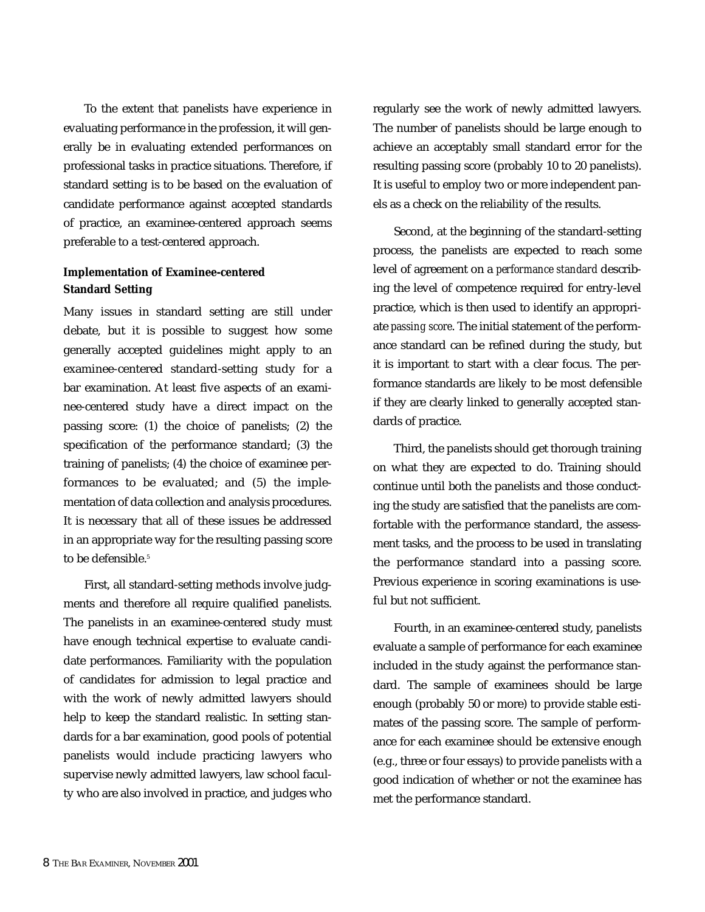To the extent that panelists have experience in evaluating performance in the profession, it will generally be in evaluating extended performances on professional tasks in practice situations. Therefore, if standard setting is to be based on the evaluation of candidate performance against accepted standards of practice, an examinee-centered approach seems preferable to a test-centered approach.

# *Implementation of Examinee-centered Standard Setting*

Many issues in standard setting are still under debate, but it is possible to suggest how some generally accepted guidelines might apply to an examinee-centered standard-setting study for a bar examination. At least five aspects of an examinee-centered study have a direct impact on the passing score: (1) the choice of panelists; (2) the specification of the performance standard; (3) the training of panelists; (4) the choice of examinee performances to be evaluated; and (5) the implementation of data collection and analysis procedures. It is necessary that all of these issues be addressed in an appropriate way for the resulting passing score to be defensible.<sup>5</sup>

First, all standard-setting methods involve judgments and therefore all require qualified panelists. The panelists in an examinee-centered study must have enough technical expertise to evaluate candidate performances. Familiarity with the population of candidates for admission to legal practice and with the work of newly admitted lawyers should help to keep the standard realistic. In setting standards for a bar examination, good pools of potential panelists would include practicing lawyers who supervise newly admitted lawyers, law school faculty who are also involved in practice, and judges who regularly see the work of newly admitted lawyers. The number of panelists should be large enough to achieve an acceptably small standard error for the resulting passing score (probably 10 to 20 panelists). It is useful to employ two or more independent panels as a check on the reliability of the results.

Second, at the beginning of the standard-setting process, the panelists are expected to reach some level of agreement on a *performance standard* describing the level of competence required for entry-level practice, which is then used to identify an appropriate *passing score*. The initial statement of the performance standard can be refined during the study, but it is important to start with a clear focus. The performance standards are likely to be most defensible if they are clearly linked to generally accepted standards of practice.

Third, the panelists should get thorough training on what they are expected to do. Training should continue until both the panelists and those conducting the study are satisfied that the panelists are comfortable with the performance standard, the assessment tasks, and the process to be used in translating the performance standard into a passing score. Previous experience in scoring examinations is useful but not sufficient.

Fourth, in an examinee-centered study, panelists evaluate a sample of performance for each examinee included in the study against the performance standard. The sample of examinees should be large enough (probably 50 or more) to provide stable estimates of the passing score. The sample of performance for each examinee should be extensive enough (e.g., three or four essays) to provide panelists with a good indication of whether or not the examinee has met the performance standard.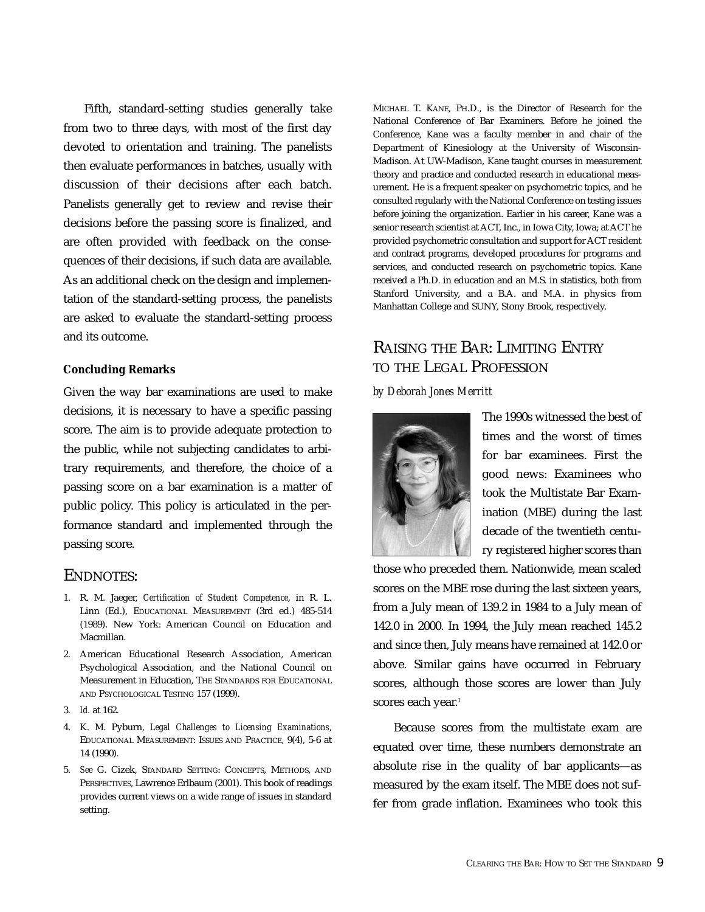Fifth, standard-setting studies generally take from two to three days, with most of the first day devoted to orientation and training. The panelists then evaluate performances in batches, usually with discussion of their decisions after each batch. Panelists generally get to review and revise their decisions before the passing score is finalized, and are often provided with feedback on the consequences of their decisions, if such data are available. As an additional check on the design and implementation of the standard-setting process, the panelists are asked to evaluate the standard-setting process and its outcome.

#### *Concluding Remarks*

Given the way bar examinations are used to make decisions, it is necessary to have a specific passing score. The aim is to provide adequate protection to the public, while not subjecting candidates to arbitrary requirements, and therefore, the choice of a passing score on a bar examination is a matter of public policy. This policy is articulated in the performance standard and implemented through the passing score.

## ENDNOTES:

- 1. R. M. Jaeger, *Certification of Student Competence*, in R. L. Linn (Ed.), EDUCATIONAL MEASUREMENT (3rd ed.) 485-514 (1989). New York: American Council on Education and Macmillan.
- 2. American Educational Research Association, American Psychological Association, and the National Council on Measurement in Education, THE STANDARDS FOR EDUCATIONAL AND PSYCHOLOGICAL TESTING 157 (1999).
- 3. *Id.* at 162.
- 4. K. M. Pyburn, *Legal Challenges to Licensing Examinations*, EDUCATIONAL MEASUREMENT: ISSUES AND PRACTICE*,* 9(4), 5-6 at 14 (1990).
- 5. *See* G. Cizek, STANDARD SETTING: CONCEPTS, METHODS, AND PERSPECTIVES, Lawrence Erlbaum (2001). This book of readings provides current views on a wide range of issues in standard setting.

MICHAEL T. KANE, PH.D., is the Director of Research for the National Conference of Bar Examiners. Before he joined the Conference, Kane was a faculty member in and chair of the Department of Kinesiology at the University of Wisconsin-Madison. At UW-Madison, Kane taught courses in measurement theory and practice and conducted research in educational measurement. He is a frequent speaker on psychometric topics, and he consulted regularly with the National Conference on testing issues before joining the organization. Earlier in his career, Kane was a senior research scientist at ACT, Inc., in Iowa City, Iowa; at ACT he provided psychometric consultation and support for ACT resident and contract programs, developed procedures for programs and services, and conducted research on psychometric topics. Kane received a Ph.D. in education and an M.S. in statistics, both from Stanford University, and a B.A. and M.A. in physics from Manhattan College and SUNY, Stony Brook, respectively.

# RAISING THE BAR: LIMITING ENTRY TO THE LEGAL PROFESSION

#### *by Deborah Jones Merritt*



The 1990s witnessed the best of times and the worst of times for bar examinees. First the good news: Examinees who took the Multistate Bar Examination (MBE) during the last decade of the twentieth century registered higher scores than

those who preceded them. Nationwide, mean scaled scores on the MBE rose during the last sixteen years, from a July mean of 139.2 in 1984 to a July mean of 142.0 in 2000. In 1994, the July mean reached 145.2 and since then, July means have remained at 142.0 or above. Similar gains have occurred in February scores, although those scores are lower than July scores each year.<sup>1</sup>

Because scores from the multistate exam are equated over time, these numbers demonstrate an absolute rise in the quality of bar applicants—as measured by the exam itself. The MBE does not suffer from grade inflation. Examinees who took this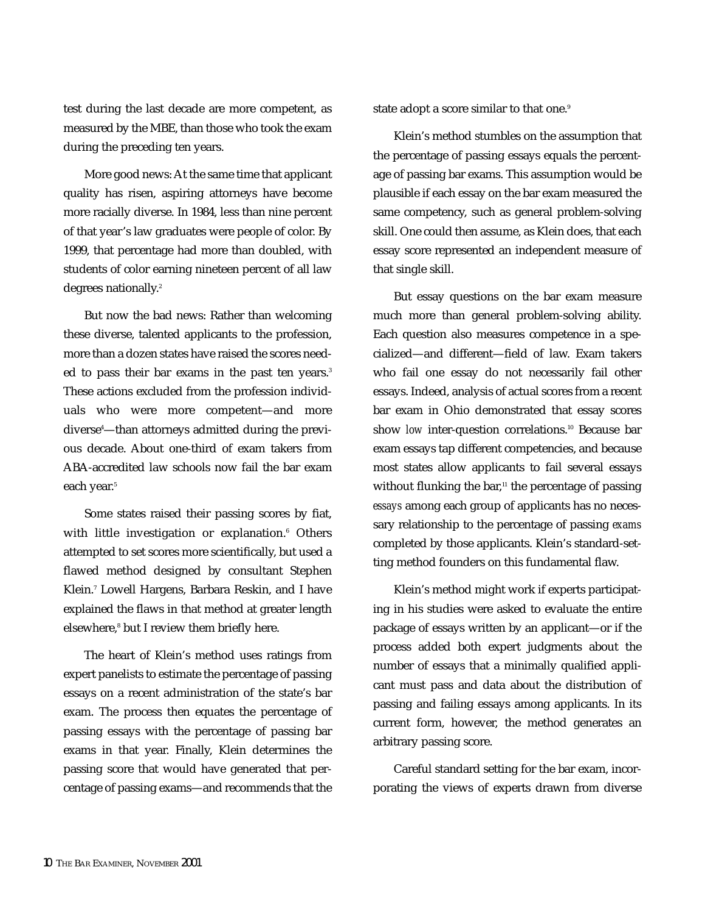test during the last decade are more competent, as measured by the MBE, than those who took the exam during the preceding ten years.

More good news: At the same time that applicant quality has risen, aspiring attorneys have become more racially diverse. In 1984, less than nine percent of that year's law graduates were people of color. By 1999, that percentage had more than doubled, with students of color earning nineteen percent of all law degrees nationally.<sup>2</sup>

But now the bad news: Rather than welcoming these diverse, talented applicants to the profession, more than a dozen states have raised the scores needed to pass their bar exams in the past ten years.<sup>3</sup> These actions excluded from the profession individuals who were more competent—and more diverse4 —than attorneys admitted during the previous decade. About one-third of exam takers from ABA-accredited law schools now fail the bar exam each year.<sup>5</sup>

Some states raised their passing scores by fiat, with little investigation or explanation.<sup>6</sup> Others attempted to set scores more scientifically, but used a flawed method designed by consultant Stephen Klein.7 Lowell Hargens, Barbara Reskin, and I have explained the flaws in that method at greater length elsewhere,<sup>8</sup> but I review them briefly here.

The heart of Klein's method uses ratings from expert panelists to estimate the percentage of passing essays on a recent administration of the state's bar exam. The process then equates the percentage of passing essays with the percentage of passing bar exams in that year. Finally, Klein determines the passing score that would have generated that percentage of passing exams—and recommends that the

state adopt a score similar to that one.<sup>9</sup>

Klein's method stumbles on the assumption that the percentage of passing essays equals the percentage of passing bar exams. This assumption would be plausible if each essay on the bar exam measured the same competency, such as general problem-solving skill. One could then assume, as Klein does, that each essay score represented an independent measure of that single skill.

But essay questions on the bar exam measure much more than general problem-solving ability. Each question also measures competence in a specialized—and different—field of law. Exam takers who fail one essay do not necessarily fail other essays. Indeed, analysis of actual scores from a recent bar exam in Ohio demonstrated that essay scores show **low** inter-question correlations.<sup>10</sup> Because bar exam essays tap different competencies, and because most states allow applicants to fail several essays without flunking the bar,<sup>11</sup> the percentage of passing *essays* among each group of applicants has no necessary relationship to the percentage of passing *exams* completed by those applicants. Klein's standard-setting method founders on this fundamental flaw.

Klein's method might work if experts participating in his studies were asked to evaluate the entire package of essays written by an applicant—or if the process added both expert judgments about the number of essays that a minimally qualified applicant must pass and data about the distribution of passing and failing essays among applicants. In its current form, however, the method generates an arbitrary passing score.

Careful standard setting for the bar exam, incorporating the views of experts drawn from diverse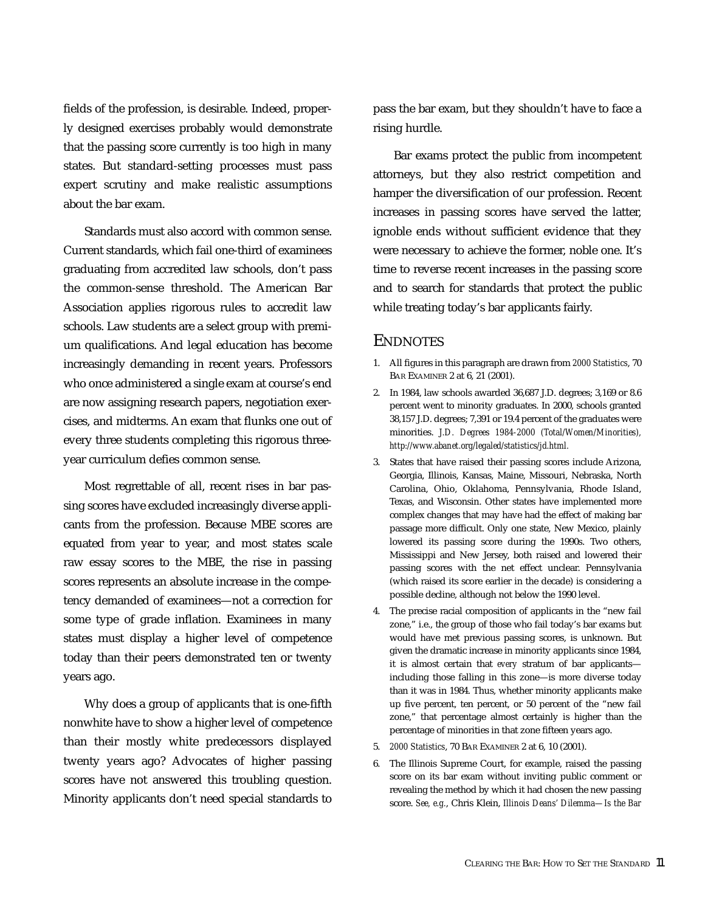fields of the profession, is desirable. Indeed, properly designed exercises probably would demonstrate that the passing score currently is too high in many states. But standard-setting processes must pass expert scrutiny and make realistic assumptions about the bar exam.

Standards must also accord with common sense. Current standards, which fail one-third of examinees graduating from accredited law schools, don't pass the common-sense threshold. The American Bar Association applies rigorous rules to accredit law schools. Law students are a select group with premium qualifications. And legal education has become increasingly demanding in recent years. Professors who once administered a single exam at course's end are now assigning research papers, negotiation exercises, and midterms. An exam that flunks one out of every three students completing this rigorous threeyear curriculum defies common sense.

Most regrettable of all, recent rises in bar passing scores have excluded increasingly diverse applicants from the profession. Because MBE scores are equated from year to year, and most states scale raw essay scores to the MBE, the rise in passing scores represents an absolute increase in the competency demanded of examinees—not a correction for some type of grade inflation. Examinees in many states must display a higher level of competence today than their peers demonstrated ten or twenty years ago.

Why does a group of applicants that is one-fifth nonwhite have to show a higher level of competence than their mostly white predecessors displayed twenty years ago? Advocates of higher passing scores have not answered this troubling question. Minority applicants don't need special standards to

pass the bar exam, but they shouldn't have to face a rising hurdle.

Bar exams protect the public from incompetent attorneys, but they also restrict competition and hamper the diversification of our profession. Recent increases in passing scores have served the latter, ignoble ends without sufficient evidence that they were necessary to achieve the former, noble one. It's time to reverse recent increases in the passing score and to search for standards that protect the public while treating today's bar applicants fairly.

# **ENDNOTES**

- 1. All figures in this paragraph are drawn from *2000 Statistics*, 70 BAR EXAMINER 2 at 6, 21 (2001).
- 2. In 1984, law schools awarded 36,687 J.D. degrees; 3,169 or 8.6 percent went to minority graduates. In 2000, schools granted 38,157 J.D. degrees; 7,391 or 19.4 percent of the graduates were minorities. *J.D. Degrees 1984-2000 (Total/Women/Minorities), http://www.abanet.org/legaled/statistics/jd.html.*
- 3. States that have raised their passing scores include Arizona, Georgia, Illinois, Kansas, Maine, Missouri, Nebraska, North Carolina, Ohio, Oklahoma, Pennsylvania, Rhode Island, Texas, and Wisconsin. Other states have implemented more complex changes that may have had the effect of making bar passage more difficult. Only one state, New Mexico, plainly lowered its passing score during the 1990s. Two others, Mississippi and New Jersey, both raised and lowered their passing scores with the net effect unclear. Pennsylvania (which raised its score earlier in the decade) is considering a possible decline, although not below the 1990 level.
- 4. The precise racial composition of applicants in the "new fail zone," i.e., the group of those who fail today's bar exams but would have met previous passing scores, is unknown. But given the dramatic increase in minority applicants since 1984, it is almost certain that *every* stratum of bar applicants including those falling in this zone—is more diverse today than it was in 1984. Thus, whether minority applicants make up five percent, ten percent, or 50 percent of the "new fail zone," that percentage almost certainly is higher than the percentage of minorities in that zone fifteen years ago.
- 5. *2000 Statistics*, 70 BAR EXAMINER 2 at 6, 10 (2001).
- 6. The Illinois Supreme Court, for example, raised the passing score on its bar exam without inviting public comment or revealing the method by which it had chosen the new passing score. See, e.g., Chris Klein, *Illinois Deans' Dilemma-Is the Bar*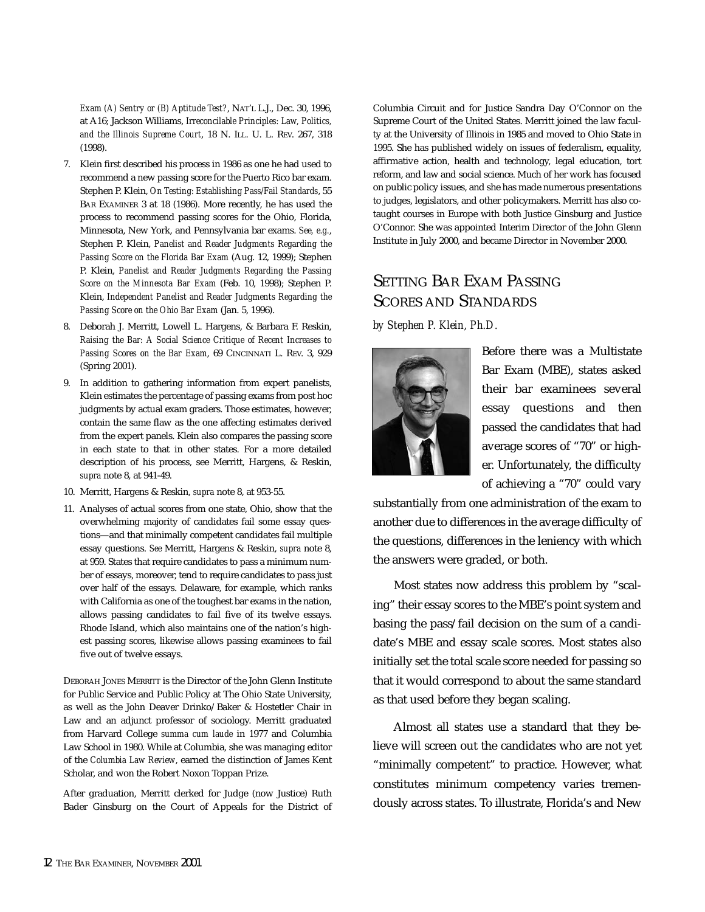*Exam (A) Sentry or (B) Aptitude Test?*, NAT'L L.J., Dec. 30, 1996, at A16; Jackson Williams, *Irreconcilable Principles: Law, Politics, and the Illinois Supreme Court*, 18 N. ILL. U. L. REV. 267, 318 (1998).

- 7. Klein first described his process in 1986 as one he had used to recommend a new passing score for the Puerto Rico bar exam. Stephen P. Klein, *On Testing: Establishing Pass/Fail Standards*, 55 BAR EXAMINER 3 at 18 (1986). More recently, he has used the process to recommend passing scores for the Ohio, Florida, Minnesota, New York, and Pennsylvania bar exams. See, e.g., Stephen P. Klein, *Panelist and Reader Judgments Regarding the* Passing Score on the Florida Bar Exam (Aug. 12, 1999); Stephen P. Klein, *Panelist and Reader Judgments Regarding the Passing Score on the Minnesota Bar Exam* (Feb. 10, 1998); Stephen P. Klein, *Independent Panelist and Reader Judgments Regarding the Passing Score on the Ohio Bar Exam* (Jan. 5, 1996).
- 8. Deborah J. Merritt, Lowell L. Hargens, & Barbara F. Reskin, *Raising the Bar: A Social Science Critique of Recent Increases to* Passing Scores on the Bar Exam, 69 CINCINNATI L. REV. 3, 929 (Spring 2001).
- 9. In addition to gathering information from expert panelists, Klein estimates the percentage of passing exams from post hoc judgments by actual exam graders. Those estimates, however, contain the same flaw as the one affecting estimates derived from the expert panels. Klein also compares the passing score in each state to that in other states. For a more detailed description of his process, see Merritt, Hargens, & Reskin, *supra* note 8, at 941-49.
- 10. Merritt, Hargens & Reskin, *supra* note 8, at 953-55.
- 11. Analyses of actual scores from one state, Ohio, show that the overwhelming majority of candidates fail some essay questions—and that minimally competent candidates fail multiple essay questions. *See* Merritt, Hargens & Reskin, *supra* note 8, at 959. States that require candidates to pass a minimum number of essays, moreover, tend to require candidates to pass just over half of the essays. Delaware, for example, which ranks with California as one of the toughest bar exams in the nation, allows passing candidates to fail five of its twelve essays. Rhode Island, which also maintains one of the nation's highest passing scores, likewise allows passing examinees to fail five out of twelve essays.

DEBORAH JONES MERRITT is the Director of the John Glenn Institute for Public Service and Public Policy at The Ohio State University, as well as the John Deaver Drinko/Baker & Hostetler Chair in Law and an adjunct professor of sociology. Merritt graduated from Harvard College *summa cum laude* in 1977 and Columbia Law School in 1980. While at Columbia, she was managing editor of the *Columbia Law Review*, earned the distinction of James Kent Scholar, and won the Robert Noxon Toppan Prize.

After graduation, Merritt clerked for Judge (now Justice) Ruth Bader Ginsburg on the Court of Appeals for the District of Columbia Circuit and for Justice Sandra Day O'Connor on the Supreme Court of the United States. Merritt joined the law faculty at the University of Illinois in 1985 and moved to Ohio State in 1995. She has published widely on issues of federalism, equality, affirmative action, health and technology, legal education, tort reform, and law and social science. Much of her work has focused on public policy issues, and she has made numerous presentations to judges, legislators, and other policymakers. Merritt has also cotaught courses in Europe with both Justice Ginsburg and Justice O'Connor. She was appointed Interim Director of the John Glenn Institute in July 2000, and became Director in November 2000.

# SETTING BAR EXAM PASSING SCORES AND STANDARDS

#### *by Stephen P. Klein, Ph.D.*



Before there was a Multistate Bar Exam (MBE), states asked their bar examinees several essay questions and then passed the candidates that had average scores of "70" or higher. Unfortunately, the difficulty of achieving a "70" could vary

substantially from one administration of the exam to another due to differences in the average difficulty of the questions, differences in the leniency with which the answers were graded, or both.

Most states now address this problem by "scaling" their essay scores to the MBE's point system and basing the pass/fail decision on the sum of a candidate's MBE and essay scale scores. Most states also initially set the total scale score needed for passing so that it would correspond to about the same standard as that used before they began scaling.

Almost all states use a standard that they believe will screen out the candidates who are not yet "minimally competent" to practice. However, what constitutes minimum competency varies tremendously across states. To illustrate, Florida's and New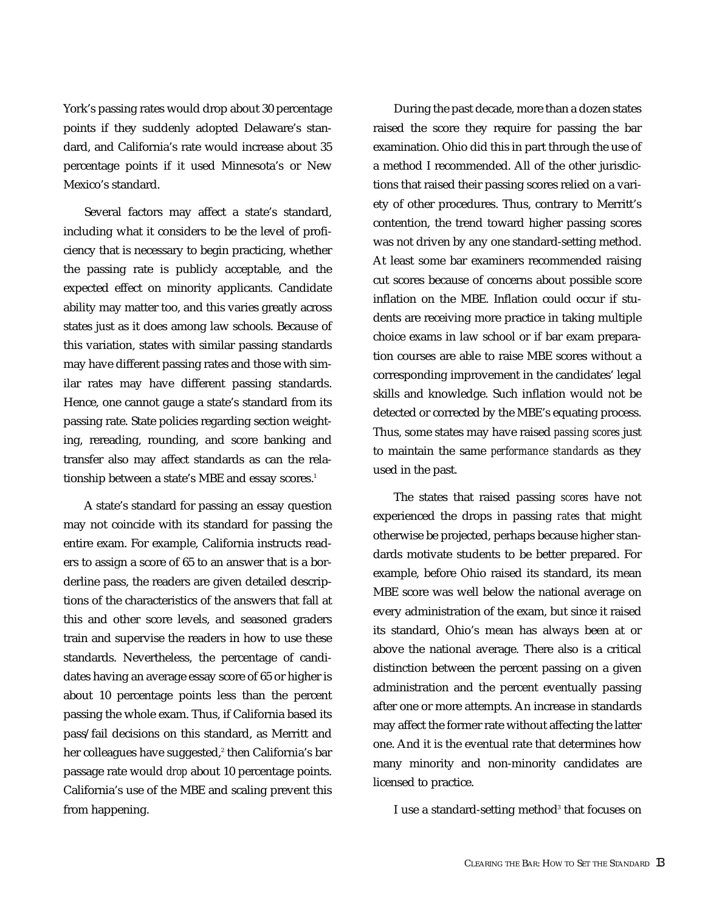York's passing rates would drop about 30 percentage points if they suddenly adopted Delaware's standard, and California's rate would increase about 35 percentage points if it used Minnesota's or New Mexico's standard.

Several factors may affect a state's standard, including what it considers to be the level of proficiency that is necessary to begin practicing, whether the passing rate is publicly acceptable, and the expected effect on minority applicants. Candidate ability may matter too, and this varies greatly across states just as it does among law schools. Because of this variation, states with similar passing standards may have different passing rates and those with similar rates may have different passing standards. Hence, one cannot gauge a state's standard from its passing rate. State policies regarding section weighting, rereading, rounding, and score banking and transfer also may affect standards as can the relationship between a state's MBE and essay scores.<sup>1</sup>

A state's standard for passing an essay question may not coincide with its standard for passing the entire exam. For example, California instructs readers to assign a score of 65 to an answer that is a borderline pass, the readers are given detailed descriptions of the characteristics of the answers that fall at this and other score levels, and seasoned graders train and supervise the readers in how to use these standards. Nevertheless, the percentage of candidates having an average essay score of 65 or higher is about 10 percentage points less than the percent passing the whole exam. Thus, if California based its pass/fail decisions on this standard, as Merritt and her colleagues have suggested,<sup>2</sup> then California's bar passage rate would *drop* about 10 percentage points. California's use of the MBE and scaling prevent this from happening.

During the past decade, more than a dozen states raised the score they require for passing the bar examination. Ohio did this in part through the use of a method I recommended. All of the other jurisdictions that raised their passing scores relied on a variety of other procedures. Thus, contrary to Merritt's contention, the trend toward higher passing scores was not driven by any one standard-setting method. At least some bar examiners recommended raising cut scores because of concerns about possible score inflation on the MBE. Inflation could occur if students are receiving more practice in taking multiple choice exams in law school or if bar exam preparation courses are able to raise MBE scores without a corresponding improvement in the candidates' legal skills and knowledge. Such inflation would not be detected or corrected by the MBE's equating process. Thus, some states may have raised *passing scores* just to maintain the same *performance standards* as they used in the past.

The states that raised passing *scores* have not experienced the drops in passing *rates* that might otherwise be projected, perhaps because higher standards motivate students to be better prepared. For example, before Ohio raised its standard, its mean MBE score was well below the national average on every administration of the exam, but since it raised its standard, Ohio's mean has always been at or above the national average. There also is a critical distinction between the percent passing on a given administration and the percent eventually passing after one or more attempts. An increase in standards may affect the former rate without affecting the latter one. And it is the eventual rate that determines how many minority and non-minority candidates are licensed to practice.

I use a standard-setting method<sup>3</sup> that focuses on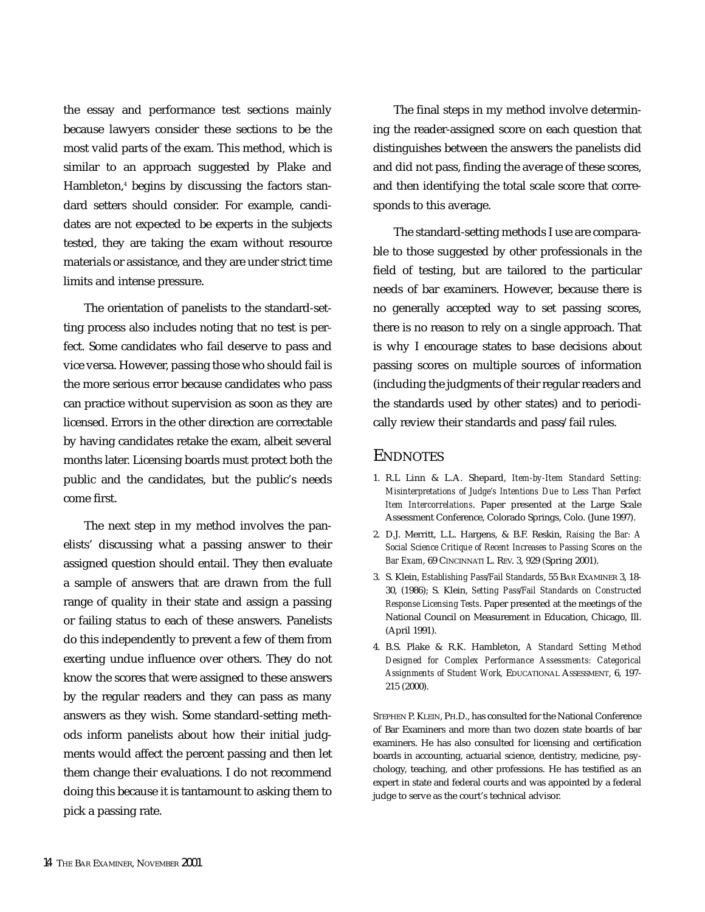the essay and performance test sections mainly because lawyers consider these sections to be the most valid parts of the exam. This method, which is similar to an approach suggested by Plake and Hambleton,<sup>4</sup> begins by discussing the factors standard setters should consider. For example, candidates are not expected to be experts in the subjects tested, they are taking the exam without resource materials or assistance, and they are under strict time limits and intense pressure.

The orientation of panelists to the standard-setting process also includes noting that no test is perfect. Some candidates who fail deserve to pass and vice versa. However, passing those who should fail is the more serious error because candidates who pass can practice without supervision as soon as they are licensed. Errors in the other direction are correctable by having candidates retake the exam, albeit several months later. Licensing boards must protect both the public and the candidates, but the public's needs come first.

The next step in my method involves the panelists' discussing what a passing answer to their assigned question should entail. They then evaluate a sample of answers that are drawn from the full range of quality in their state and assign a passing or failing status to each of these answers. Panelists do this independently to prevent a few of them from exerting undue influence over others. They do not know the scores that were assigned to these answers by the regular readers and they can pass as many answers as they wish. Some standard-setting methods inform panelists about how their initial judgments would affect the percent passing and then let them change their evaluations. I do not recommend doing this because it is tantamount to asking them to pick a passing rate.

The final steps in my method involve determining the reader-assigned score on each question that distinguishes between the answers the panelists did and did not pass, finding the average of these scores, and then identifying the total scale score that corresponds to this average.

The standard-setting methods I use are comparable to those suggested by other professionals in the field of testing, but are tailored to the particular needs of bar examiners. However, because there is no generally accepted way to set passing scores, there is no reason to rely on a single approach. That is why I encourage states to base decisions about passing scores on multiple sources of information (including the judgments of their regular readers and the standards used by other states) and to periodically review their standards and pass/fail rules.

## ENDNOTES

- 1. R.L Linn & L.A. Shepard, *Item-by-Item Standard Setting: Misinterpretations of Judge's Intentions Due to Less Than Perfect Item Intercorrelations*. Paper presented at the Large Scale Assessment Conference, Colorado Springs, Colo. (June 1997).
- 2. D.J. Merritt, L.L. Hargens, & B.F. Reskin, *Raising the Bar: A Social Science Critique of Recent Increases to Passing Scores on the Bar Exam*, 69 CINCINNATI L. REV. 3, 929 (Spring 2001).
- 3. S. Klein, *Establishing Pass/Fail Standards*, 55 BAR EXAMINER 3, 18- 30, (1986); S. Klein, *Setting Pass/Fail Standards on Constructed Response Licensing Tests*. Paper presented at the meetings of the National Council on Measurement in Education, Chicago, Ill. (April 1991).
- 4. B.S. Plake & R.K. Hambleton, *A Standard Setting Method Designed for Complex Performance Assessments: Categorical Assignments of Student Work,* EDUCATIONAL ASSESSMENT, 6, 197- 215 (2000).

STEPHEN P. KLEIN, PH.D., has consulted for the National Conference of Bar Examiners and more than two dozen state boards of bar examiners. He has also consulted for licensing and certification boards in accounting, actuarial science, dentistry, medicine, psychology, teaching, and other professions. He has testified as an expert in state and federal courts and was appointed by a federal judge to serve as the court's technical advisor.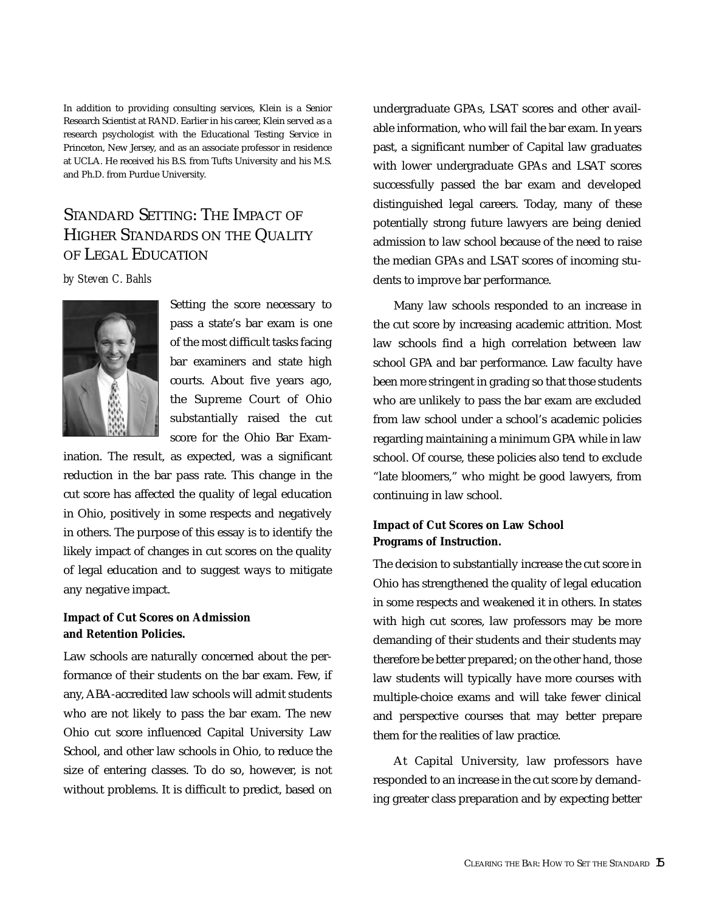In addition to providing consulting services, Klein is a Senior Research Scientist at RAND. Earlier in his career, Klein served as a research psychologist with the Educational Testing Service in Princeton, New Jersey, and as an associate professor in residence at UCLA. He received his B.S. from Tufts University and his M.S. and Ph.D. from Purdue University.

# STANDARD SETTING: THE IMPACT OF HIGHER STANDARDS ON THE QUALITY OF LEGAL EDUCATION

## *by Steven C. Bahls*



Setting the score necessary to pass a state's bar exam is one of the most difficult tasks facing bar examiners and state high courts. About five years ago, the Supreme Court of Ohio substantially raised the cut score for the Ohio Bar Exam-

ination. The result, as expected, was a significant reduction in the bar pass rate. This change in the cut score has affected the quality of legal education in Ohio, positively in some respects and negatively in others. The purpose of this essay is to identify the likely impact of changes in cut scores on the quality of legal education and to suggest ways to mitigate any negative impact.

## *Impact of Cut Scores on Admission and Retention Policies.*

Law schools are naturally concerned about the performance of their students on the bar exam. Few, if any, ABA-accredited law schools will admit students who are not likely to pass the bar exam. The new Ohio cut score influenced Capital University Law School, and other law schools in Ohio, to reduce the size of entering classes. To do so, however, is not without problems. It is difficult to predict, based on undergraduate GPAs, LSAT scores and other available information, who will fail the bar exam. In years past, a significant number of Capital law graduates with lower undergraduate GPAs and LSAT scores successfully passed the bar exam and developed distinguished legal careers. Today, many of these potentially strong future lawyers are being denied admission to law school because of the need to raise the median GPAs and LSAT scores of incoming students to improve bar performance.

Many law schools responded to an increase in the cut score by increasing academic attrition. Most law schools find a high correlation between law school GPA and bar performance. Law faculty have been more stringent in grading so that those students who are unlikely to pass the bar exam are excluded from law school under a school's academic policies regarding maintaining a minimum GPA while in law school. Of course, these policies also tend to exclude "late bloomers," who might be good lawyers, from continuing in law school.

# *Impact of Cut Scores on Law School Programs of Instruction.*

The decision to substantially increase the cut score in Ohio has strengthened the quality of legal education in some respects and weakened it in others. In states with high cut scores, law professors may be more demanding of their students and their students may therefore be better prepared; on the other hand, those law students will typically have more courses with multiple-choice exams and will take fewer clinical and perspective courses that may better prepare them for the realities of law practice.

At Capital University, law professors have responded to an increase in the cut score by demanding greater class preparation and by expecting better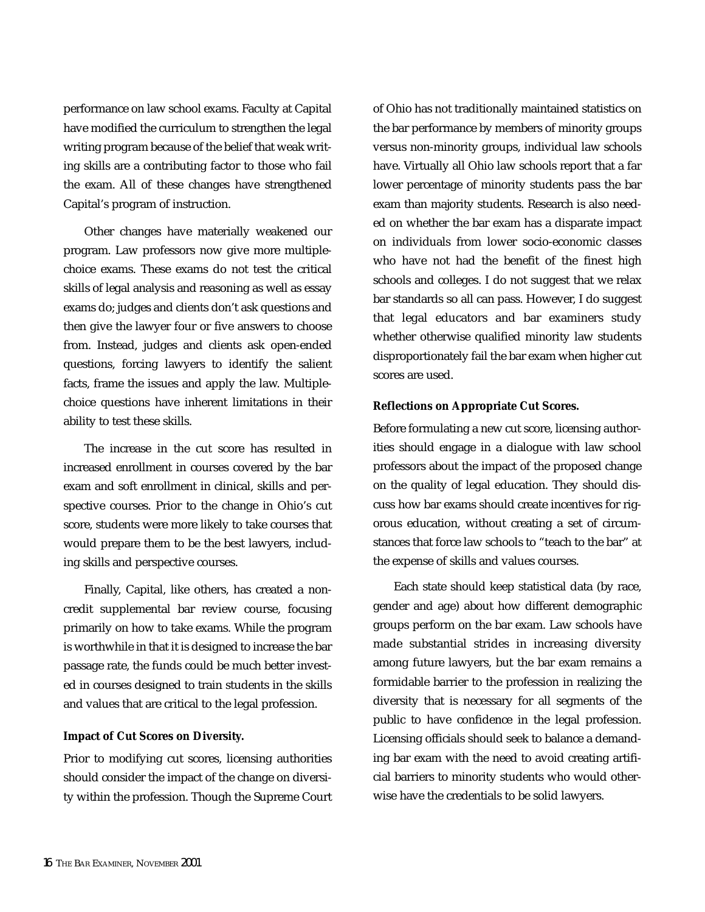performance on law school exams. Faculty at Capital have modified the curriculum to strengthen the legal writing program because of the belief that weak writing skills are a contributing factor to those who fail the exam. All of these changes have strengthened Capital's program of instruction.

Other changes have materially weakened our program. Law professors now give more multiplechoice exams. These exams do not test the critical skills of legal analysis and reasoning as well as essay exams do; judges and clients don't ask questions and then give the lawyer four or five answers to choose from. Instead, judges and clients ask open-ended questions, forcing lawyers to identify the salient facts, frame the issues and apply the law. Multiplechoice questions have inherent limitations in their ability to test these skills.

The increase in the cut score has resulted in increased enrollment in courses covered by the bar exam and soft enrollment in clinical, skills and perspective courses. Prior to the change in Ohio's cut score, students were more likely to take courses that would prepare them to be the best lawyers, including skills and perspective courses.

Finally, Capital, like others, has created a noncredit supplemental bar review course, focusing primarily on how to take exams. While the program is worthwhile in that it is designed to increase the bar passage rate, the funds could be much better invested in courses designed to train students in the skills and values that are critical to the legal profession.

#### *Impact of Cut Scores on Diversity.*

Prior to modifying cut scores, licensing authorities should consider the impact of the change on diversity within the profession. Though the Supreme Court

of Ohio has not traditionally maintained statistics on the bar performance by members of minority groups versus non-minority groups, individual law schools have. Virtually all Ohio law schools report that a far lower percentage of minority students pass the bar exam than majority students. Research is also needed on whether the bar exam has a disparate impact on individuals from lower socio-economic classes who have not had the benefit of the finest high schools and colleges. I do not suggest that we relax bar standards so all can pass. However, I do suggest that legal educators and bar examiners study whether otherwise qualified minority law students disproportionately fail the bar exam when higher cut scores are used.

#### *Reflections on Appropriate Cut Scores.*

Before formulating a new cut score, licensing authorities should engage in a dialogue with law school professors about the impact of the proposed change on the quality of legal education. They should discuss how bar exams should create incentives for rigorous education, without creating a set of circumstances that force law schools to "teach to the bar" at the expense of skills and values courses.

Each state should keep statistical data (by race, gender and age) about how different demographic groups perform on the bar exam. Law schools have made substantial strides in increasing diversity among future lawyers, but the bar exam remains a formidable barrier to the profession in realizing the diversity that is necessary for all segments of the public to have confidence in the legal profession. Licensing officials should seek to balance a demanding bar exam with the need to avoid creating artificial barriers to minority students who would otherwise have the credentials to be solid lawyers.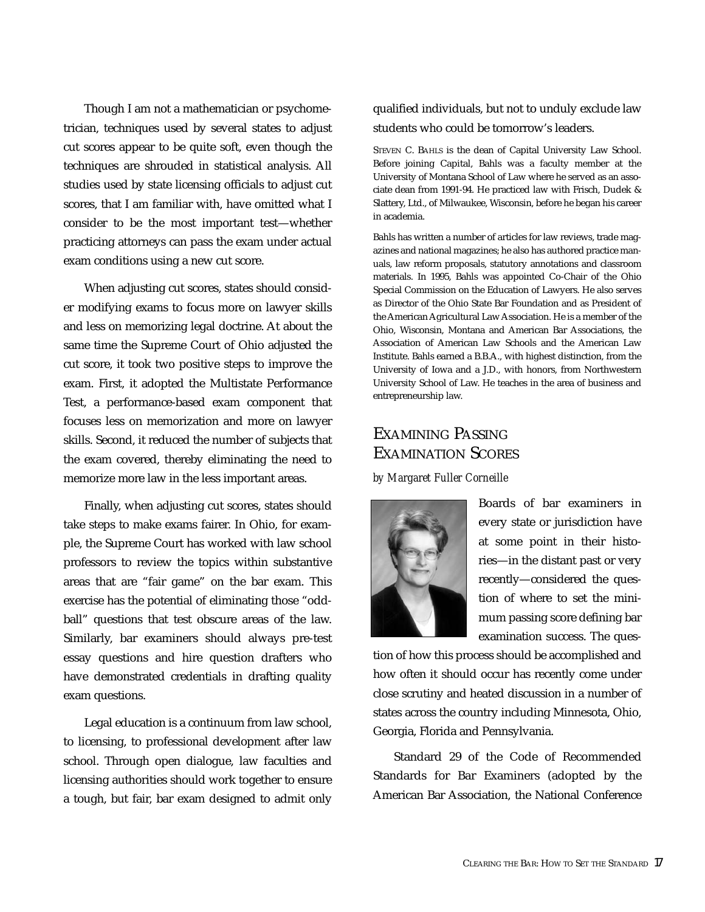Though I am not a mathematician or psychometrician, techniques used by several states to adjust cut scores appear to be quite soft, even though the techniques are shrouded in statistical analysis. All studies used by state licensing officials to adjust cut scores, that I am familiar with, have omitted what I consider to be the most important test—whether practicing attorneys can pass the exam under actual exam conditions using a new cut score.

When adjusting cut scores, states should consider modifying exams to focus more on lawyer skills and less on memorizing legal doctrine. At about the same time the Supreme Court of Ohio adjusted the cut score, it took two positive steps to improve the exam. First, it adopted the Multistate Performance Test, a performance-based exam component that focuses less on memorization and more on lawyer skills. Second, it reduced the number of subjects that the exam covered, thereby eliminating the need to memorize more law in the less important areas.

Finally, when adjusting cut scores, states should take steps to make exams fairer. In Ohio, for example, the Supreme Court has worked with law school professors to review the topics within substantive areas that are "fair game" on the bar exam. This exercise has the potential of eliminating those "oddball" questions that test obscure areas of the law. Similarly, bar examiners should always pre-test essay questions and hire question drafters who have demonstrated credentials in drafting quality exam questions.

Legal education is a continuum from law school, to licensing, to professional development after law school. Through open dialogue, law faculties and licensing authorities should work together to ensure a tough, but fair, bar exam designed to admit only qualified individuals, but not to unduly exclude law students who could be tomorrow's leaders.

STEVEN C. BAHLS is the dean of Capital University Law School. Before joining Capital, Bahls was a faculty member at the University of Montana School of Law where he served as an associate dean from 1991-94. He practiced law with Frisch, Dudek & Slattery, Ltd., of Milwaukee, Wisconsin, before he began his career in academia.

Bahls has written a number of articles for law reviews, trade magazines and national magazines; he also has authored practice manuals, law reform proposals, statutory annotations and classroom materials. In 1995, Bahls was appointed Co-Chair of the Ohio Special Commission on the Education of Lawyers. He also serves as Director of the Ohio State Bar Foundation and as President of the American Agricultural Law Association. He is a member of the Ohio, Wisconsin, Montana and American Bar Associations, the Association of American Law Schools and the American Law Institute. Bahls earned a B.B.A., with highest distinction, from the University of Iowa and a J.D., with honors, from Northwestern University School of Law. He teaches in the area of business and entrepreneurship law.

# EXAMINING PASSING EXAMINATION SCORES

## *by Margaret Fuller Corneille*



Boards of bar examiners in every state or jurisdiction have at some point in their histories—in the distant past or very recently—considered the question of where to set the minimum passing score defining bar examination success. The ques-

tion of how this process should be accomplished and how often it should occur has recently come under close scrutiny and heated discussion in a number of states across the country including Minnesota, Ohio, Georgia, Florida and Pennsylvania.

Standard 29 of the Code of Recommended Standards for Bar Examiners (adopted by the American Bar Association, the National Conference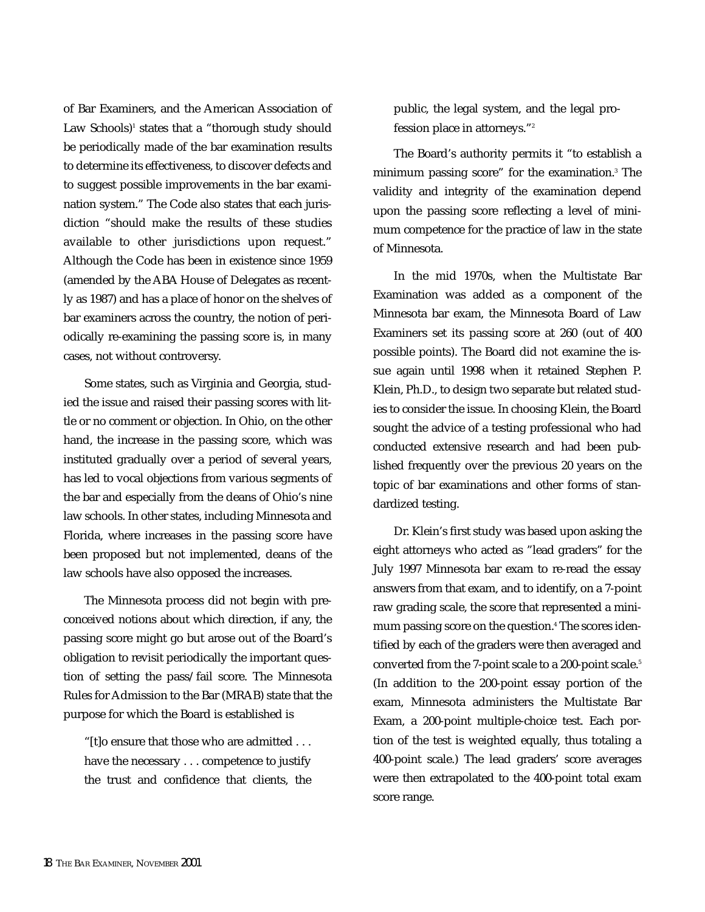of Bar Examiners, and the American Association of Law Schools) $<sup>1</sup>$  states that a "thorough study should</sup> be periodically made of the bar examination results to determine its effectiveness, to discover defects and to suggest possible improvements in the bar examination system." The Code also states that each jurisdiction "should make the results of these studies available to other jurisdictions upon request." Although the Code has been in existence since 1959 (amended by the ABA House of Delegates as recently as 1987) and has a place of honor on the shelves of bar examiners across the country, the notion of periodically re-examining the passing score is, in many cases, not without controversy.

Some states, such as Virginia and Georgia, studied the issue and raised their passing scores with little or no comment or objection. In Ohio, on the other hand, the increase in the passing score, which was instituted gradually over a period of several years, has led to vocal objections from various segments of the bar and especially from the deans of Ohio's nine law schools. In other states, including Minnesota and Florida, where increases in the passing score have been proposed but not implemented, deans of the law schools have also opposed the increases.

The Minnesota process did not begin with preconceived notions about which direction, if any, the passing score might go but arose out of the Board's obligation to revisit periodically the important question of setting the pass/fail score. The Minnesota Rules for Admission to the Bar (MRAB) state that the purpose for which the Board is established is

"[t]o ensure that those who are admitted . . . have the necessary . . . competence to justify the trust and confidence that clients, the public, the legal system, and the legal profession place in attorneys."2

The Board's authority permits it "to establish a minimum passing score" for the examination.3 The validity and integrity of the examination depend upon the passing score reflecting a level of minimum competence for the practice of law in the state of Minnesota.

In the mid 1970s, when the Multistate Bar Examination was added as a component of the Minnesota bar exam, the Minnesota Board of Law Examiners set its passing score at 260 (out of 400 possible points). The Board did not examine the issue again until 1998 when it retained Stephen P. Klein, Ph.D., to design two separate but related studies to consider the issue. In choosing Klein, the Board sought the advice of a testing professional who had conducted extensive research and had been published frequently over the previous 20 years on the topic of bar examinations and other forms of standardized testing.

Dr. Klein's first study was based upon asking the eight attorneys who acted as "lead graders" for the July 1997 Minnesota bar exam to re-read the essay answers from that exam, and to identify, on a 7-point raw grading scale, the score that represented a minimum passing score on the question.<sup>4</sup> The scores identified by each of the graders were then averaged and converted from the 7-point scale to a 200-point scale.<sup>5</sup> (In addition to the 200-point essay portion of the exam, Minnesota administers the Multistate Bar Exam, a 200-point multiple-choice test. Each portion of the test is weighted equally, thus totaling a 400-point scale.) The lead graders' score averages were then extrapolated to the 400-point total exam score range.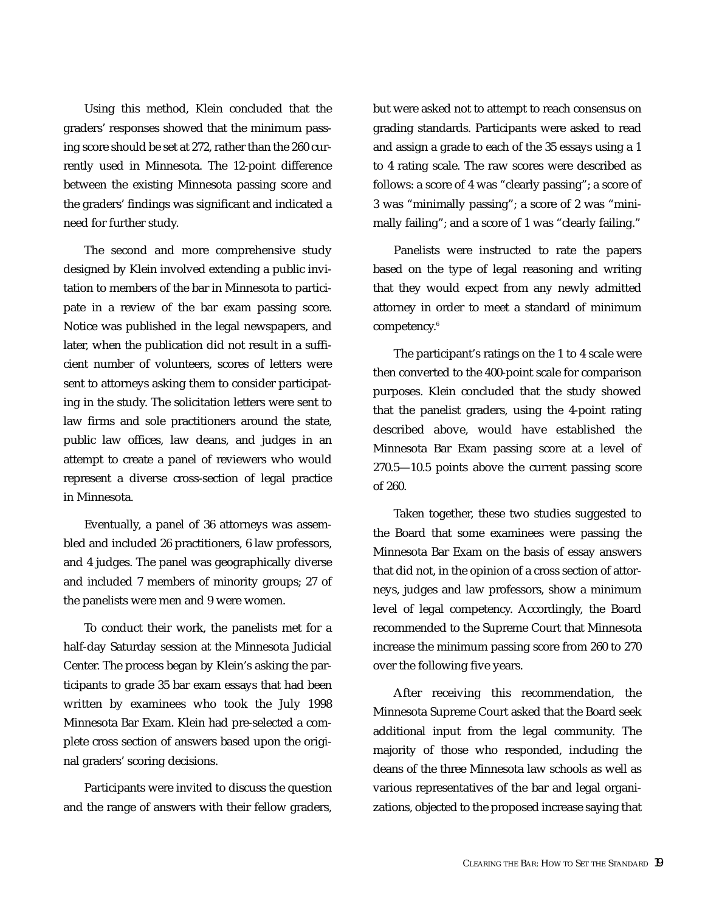Using this method, Klein concluded that the graders' responses showed that the minimum passing score should be set at 272, rather than the 260 currently used in Minnesota. The 12-point difference between the existing Minnesota passing score and the graders' findings was significant and indicated a need for further study.

The second and more comprehensive study designed by Klein involved extending a public invitation to members of the bar in Minnesota to participate in a review of the bar exam passing score. Notice was published in the legal newspapers, and later, when the publication did not result in a sufficient number of volunteers, scores of letters were sent to attorneys asking them to consider participating in the study. The solicitation letters were sent to law firms and sole practitioners around the state, public law offices, law deans, and judges in an attempt to create a panel of reviewers who would represent a diverse cross-section of legal practice in Minnesota.

Eventually, a panel of 36 attorneys was assembled and included 26 practitioners, 6 law professors, and 4 judges. The panel was geographically diverse and included 7 members of minority groups; 27 of the panelists were men and 9 were women.

To conduct their work, the panelists met for a half-day Saturday session at the Minnesota Judicial Center. The process began by Klein's asking the participants to grade 35 bar exam essays that had been written by examinees who took the July 1998 Minnesota Bar Exam. Klein had pre-selected a complete cross section of answers based upon the original graders' scoring decisions.

Participants were invited to discuss the question and the range of answers with their fellow graders,

but were asked not to attempt to reach consensus on grading standards. Participants were asked to read and assign a grade to each of the 35 essays using a 1 to 4 rating scale. The raw scores were described as follows: a score of 4 was "clearly passing"; a score of 3 was "minimally passing"; a score of 2 was "minimally failing"; and a score of 1 was "clearly failing."

Panelists were instructed to rate the papers based on the type of legal reasoning and writing that they would expect from any newly admitted attorney in order to meet a standard of minimum competency.6

The participant's ratings on the 1 to 4 scale were then converted to the 400-point scale for comparison purposes. Klein concluded that the study showed that the panelist graders, using the 4-point rating described above, would have established the Minnesota Bar Exam passing score at a level of 270.5—10.5 points above the current passing score of 260.

Taken together, these two studies suggested to the Board that some examinees were passing the Minnesota Bar Exam on the basis of essay answers that did not, in the opinion of a cross section of attorneys, judges and law professors, show a minimum level of legal competency. Accordingly, the Board recommended to the Supreme Court that Minnesota increase the minimum passing score from 260 to 270 over the following five years.

After receiving this recommendation, the Minnesota Supreme Court asked that the Board seek additional input from the legal community. The majority of those who responded, including the deans of the three Minnesota law schools as well as various representatives of the bar and legal organizations, objected to the proposed increase saying that